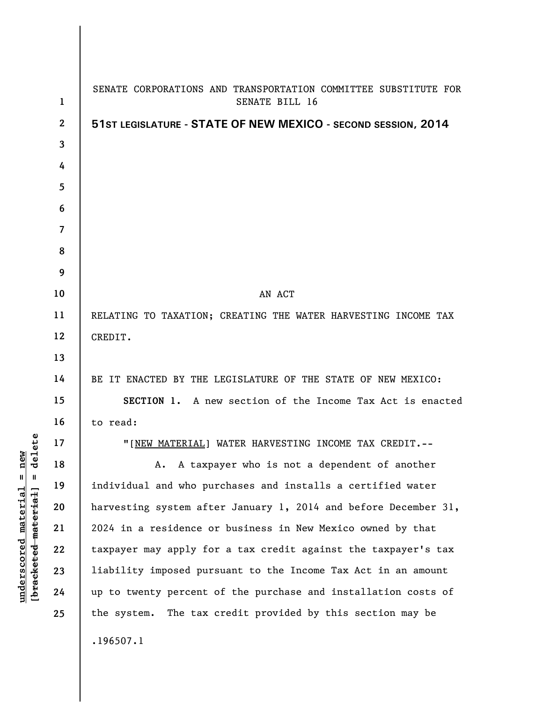| $\mathbf 1$              | SENATE CORPORATIONS AND TRANSPORTATION COMMITTEE SUBSTITUTE FOR<br>SENATE BILL 16 |
|--------------------------|-----------------------------------------------------------------------------------|
| $\boldsymbol{2}$         | 51ST LEGISLATURE - STATE OF NEW MEXICO - SECOND SESSION, 2014                     |
| 3                        |                                                                                   |
| 4                        |                                                                                   |
| 5                        |                                                                                   |
| 6                        |                                                                                   |
| $\overline{\mathcal{L}}$ |                                                                                   |
| 8                        |                                                                                   |
| 9                        |                                                                                   |
| 10                       | AN ACT                                                                            |
| 11                       | RELATING TO TAXATION; CREATING THE WATER HARVESTING INCOME TAX                    |
| 12                       | CREDIT.                                                                           |
| 13                       |                                                                                   |
| 14                       | BE IT ENACTED BY THE LEGISLATURE OF THE STATE OF NEW MEXICO:                      |
| 15                       | SECTION 1. A new section of the Income Tax Act is enacted                         |
| 16                       | to read:                                                                          |
| 17                       | "[NEW MATERIAL] WATER HARVESTING INCOME TAX CREDIT.--                             |
| 18                       | A taxpayer who is not a dependent of another<br>Α.                                |
| 19                       | individual and who purchases and installs a certified water                       |
| 20                       | harvesting system after January 1, 2014 and before December 31,                   |
| 21                       | 2024 in a residence or business in New Mexico owned by that                       |
| 22                       | taxpayer may apply for a tax credit against the taxpayer's tax                    |
| 23                       | liability imposed pursuant to the Income Tax Act in an amount                     |
| 24                       | up to twenty percent of the purchase and installation costs of                    |
| 25                       | the system. The tax credit provided by this section may be                        |
|                          | .196507.1                                                                         |

**underscored material = new [bracketed material] = delete**

 $[**bracket eted metert et**] = **del et e**$  $underscored material = new$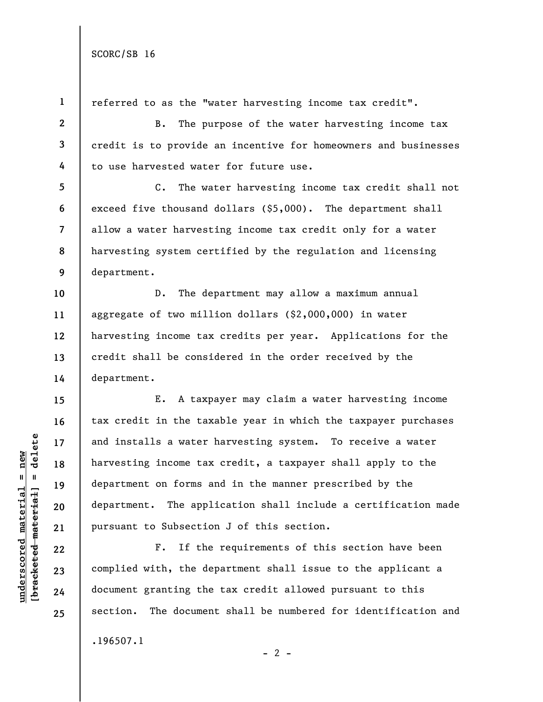SCORC/SB 16

**1** 

**underscored material = new**

 $underscored material = new$ 

**25** 

referred to as the "water harvesting income tax credit".

B. The purpose of the water harvesting income tax credit is to provide an incentive for homeowners and businesses to use harvested water for future use.

C. The water harvesting income tax credit shall not exceed five thousand dollars (\$5,000). The department shall allow a water harvesting income tax credit only for a water harvesting system certified by the regulation and licensing department.

D. The department may allow a maximum annual aggregate of two million dollars (\$2,000,000) in water harvesting income tax credits per year. Applications for the credit shall be considered in the order received by the department.

E. A taxpayer may claim a water harvesting income tax credit in the taxable year in which the taxpayer purchases and installs a water harvesting system. To receive a water harvesting income tax credit, a taxpayer shall apply to the department on forms and in the manner prescribed by the department. The application shall include a certification made pursuant to Subsection J of this section.

F. If the requirements of this section have been complied with, the department shall issue to the applicant a document granting the tax credit allowed pursuant to this section. The document shall be numbered for identification and .196507.1

 $- 2 -$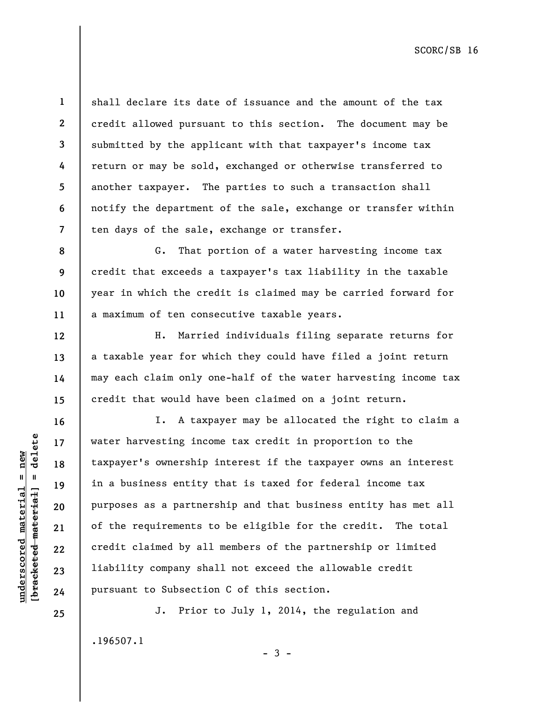**11** 

**12** 

**13** 

**14** 

**15** 

**16** 

**17** 

**18** 

**19** 

**20** 

**21** 

**22** 

**23** 

**24** 

**25** 

**1** 

**2** 

shall declare its date of issuance and the amount of the tax credit allowed pursuant to this section. The document may be submitted by the applicant with that taxpayer's income tax return or may be sold, exchanged or otherwise transferred to another taxpayer. The parties to such a transaction shall notify the department of the sale, exchange or transfer within ten days of the sale, exchange or transfer.

G. That portion of a water harvesting income tax credit that exceeds a taxpayer's tax liability in the taxable year in which the credit is claimed may be carried forward for a maximum of ten consecutive taxable years.

H. Married individuals filing separate returns for a taxable year for which they could have filed a joint return may each claim only one-half of the water harvesting income tax credit that would have been claimed on a joint return.

I. A taxpayer may be allocated the right to claim a water harvesting income tax credit in proportion to the taxpayer's ownership interest if the taxpayer owns an interest in a business entity that is taxed for federal income tax purposes as a partnership and that business entity has met all of the requirements to be eligible for the credit. The total credit claimed by all members of the partnership or limited liability company shall not exceed the allowable credit pursuant to Subsection C of this section.

J. Prior to July 1, 2014, the regulation and .196507.1  $-3 -$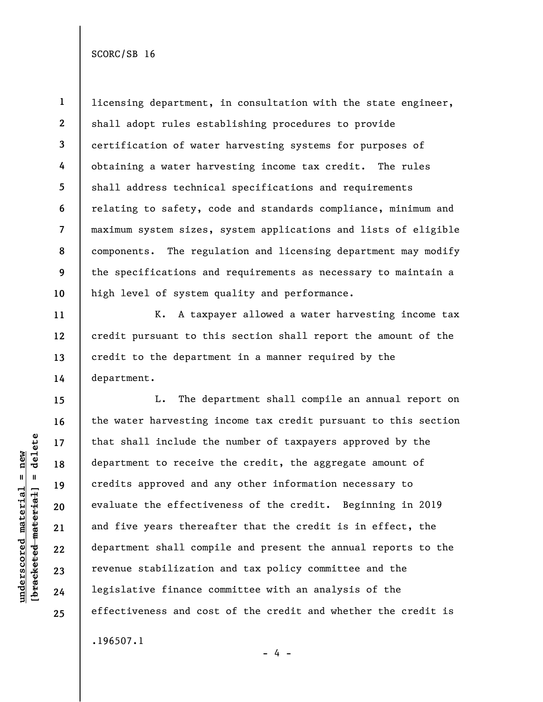SCORC/SB 16

**1 2 3 4 5 6 7 8 9 10**  licensing department, in consultation with the state engineer, shall adopt rules establishing procedures to provide certification of water harvesting systems for purposes of obtaining a water harvesting income tax credit. The rules shall address technical specifications and requirements relating to safety, code and standards compliance, minimum and maximum system sizes, system applications and lists of eligible components. The regulation and licensing department may modify the specifications and requirements as necessary to maintain a high level of system quality and performance.

K. A taxpayer allowed a water harvesting income tax credit pursuant to this section shall report the amount of the credit to the department in a manner required by the department.

L. The department shall compile an annual report on the water harvesting income tax credit pursuant to this section that shall include the number of taxpayers approved by the department to receive the credit, the aggregate amount of credits approved and any other information necessary to evaluate the effectiveness of the credit. Beginning in 2019 and five years thereafter that the credit is in effect, the department shall compile and present the annual reports to the revenue stabilization and tax policy committee and the legislative finance committee with an analysis of the effectiveness and cost of the credit and whether the credit is .196507.1

- 4 -

 $b$ racketed material] = delete **[bracketed material] = delete**  $underscored material = new$ **underscored material = new**

**11** 

**12** 

**13** 

**14** 

**15** 

**16** 

**17** 

**18** 

**19** 

**20** 

**21** 

**22** 

**23** 

**24** 

**25**